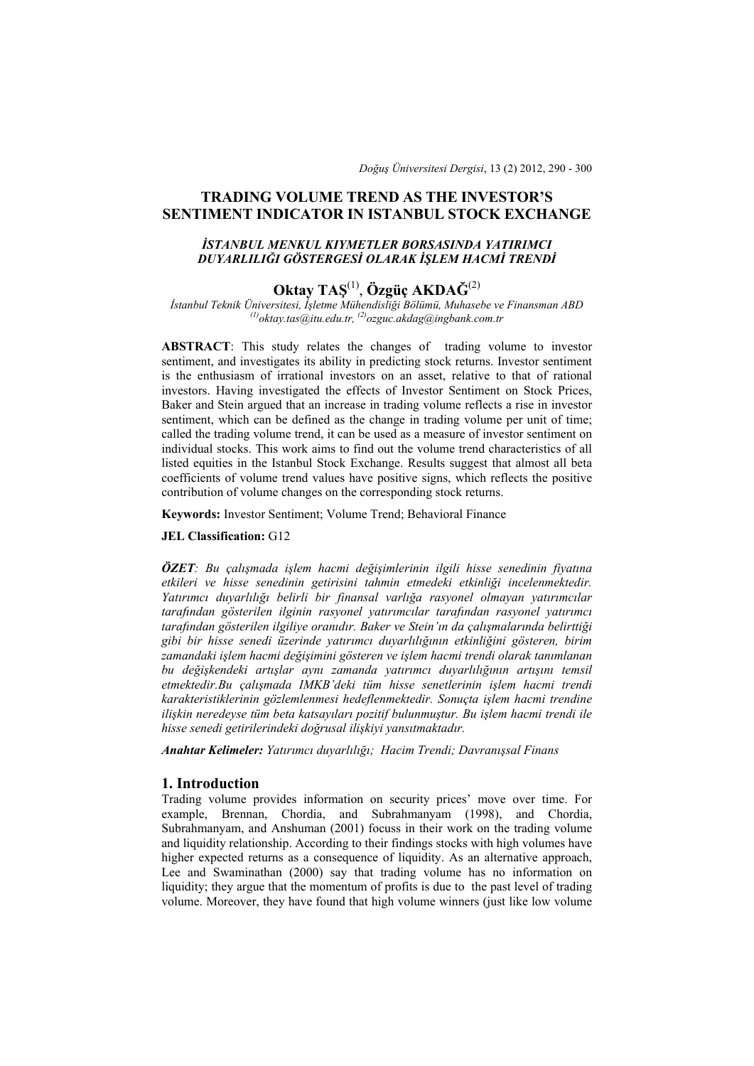*Doğuş Üniversitesi Dergisi*, 13 (2) 2012, 290 - 300

# **TRADING VOLUME TREND AS THE INVESTOR'S SENTIMENT INDICATOR IN ISTANBUL STOCK EXCHANGE**

## *İSTANBUL MENKUL KIYMETLER BORSASINDA YATIRIMCI DUYARLILIĞI GÖSTERGESİ OLARAK İŞLEM HACMİ TRENDİ*

# **Oktay TAŞ**(1), **Özgüç AKDAĞ**(2)

*İstanbul Teknik Üniversitesi, İşletme Mühendisliği Bölümü, Muhasebe ve Finansman ABD (1)oktay.tas@itu.edu.tr, (2)ozguc.akdag@ingbank.com.tr* 

**ABSTRACT**: This study relates the changes of trading volume to investor sentiment, and investigates its ability in predicting stock returns. Investor sentiment is the enthusiasm of irrational investors on an asset, relative to that of rational investors. Having investigated the effects of Investor Sentiment on Stock Prices, Baker and Stein argued that an increase in trading volume reflects a rise in investor sentiment, which can be defined as the change in trading volume per unit of time; called the trading volume trend, it can be used as a measure of investor sentiment on individual stocks. This work aims to find out the volume trend characteristics of all listed equities in the Istanbul Stock Exchange. Results suggest that almost all beta coefficients of volume trend values have positive signs, which reflects the positive contribution of volume changes on the corresponding stock returns.

**Keywords:** Investor Sentiment; Volume Trend; Behavioral Finance

#### **JEL Classification:** G12

*ÖZET: Bu çalışmada işlem hacmi değişimlerinin ilgili hisse senedinin fiyatına etkileri ve hisse senedinin getirisini tahmin etmedeki etkinliği incelenmektedir. Yatırımcı duyarlılığı belirli bir finansal varlığa rasyonel olmayan yatırımcılar tarafından gösterilen ilginin rasyonel yatırımcılar tarafından rasyonel yatırımcı tarafından gösterilen ilgiliye oranıdır. Baker ve Stein'ın da çalışmalarında belirttiği gibi bir hisse senedi üzerinde yatırımcı duyarlılığının etkinliğini gösteren, birim zamandaki işlem hacmi değişimini gösteren ve işlem hacmi trendi olarak tanımlanan bu değişkendeki artışlar aynı zamanda yatırımcı duyarlılığının artışını temsil etmektedir.Bu çalışmada IMKB'deki tüm hisse senetlerinin işlem hacmi trendi karakteristiklerinin gözlemlenmesi hedeflenmektedir. Sonuçta işlem hacmi trendine ilişkin neredeyse tüm beta katsayıları pozitif bulunmuştur. Bu işlem hacmi trendi ile hisse senedi getirilerindeki doğrusal ilişkiyi yansıtmaktadır.* 

*Anahtar Kelimeler: Yatırımcı duyarlılığı; Hacim Trendi; Davranışsal Finans* 

## **1. Introduction**

Trading volume provides information on security prices' move over time. For example, Brennan, Chordia, and Subrahmanyam (1998), and Chordia, Subrahmanyam, and Anshuman (2001) focuss in their work on the trading volume and liquidity relationship. According to their findings stocks with high volumes have higher expected returns as a consequence of liquidity. As an alternative approach, Lee and Swaminathan (2000) say that trading volume has no information on liquidity; they argue that the momentum of profits is due to the past level of trading volume. Moreover, they have found that high volume winners (just like low volume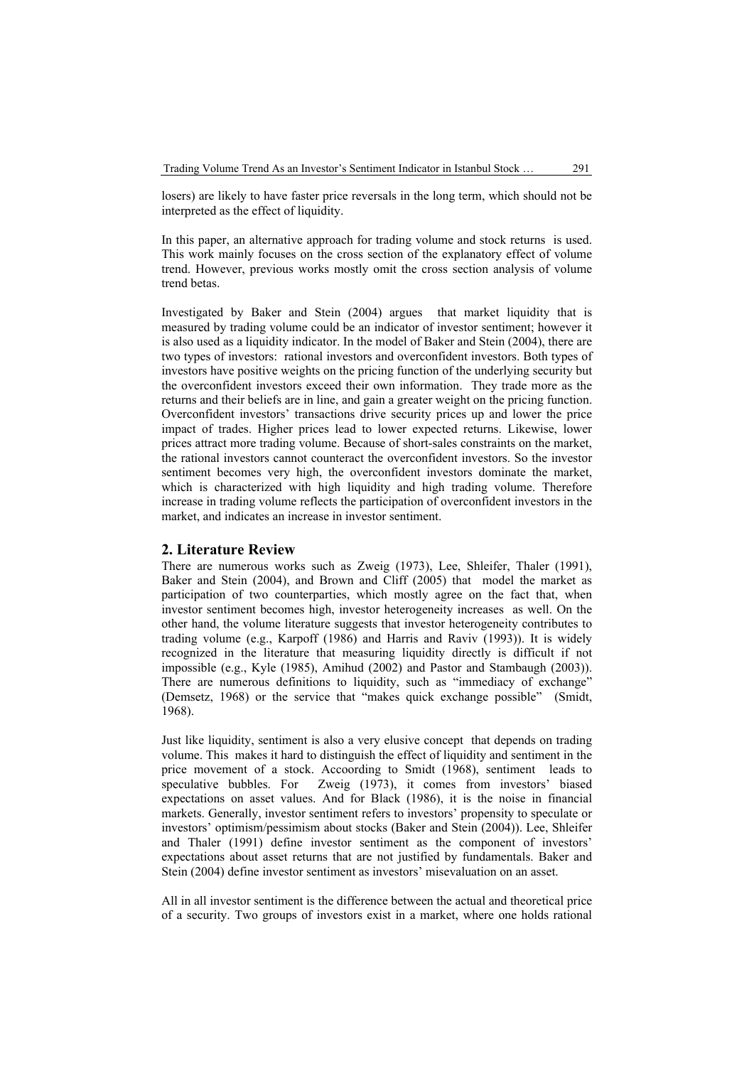losers) are likely to have faster price reversals in the long term, which should not be interpreted as the effect of liquidity.

In this paper, an alternative approach for trading volume and stock returns is used. This work mainly focuses on the cross section of the explanatory effect of volume trend. However, previous works mostly omit the cross section analysis of volume trend betas.

Investigated by Baker and Stein (2004) argues that market liquidity that is measured by trading volume could be an indicator of investor sentiment; however it is also used as a liquidity indicator. In the model of Baker and Stein (2004), there are two types of investors: rational investors and overconfident investors. Both types of investors have positive weights on the pricing function of the underlying security but the overconfident investors exceed their own information. They trade more as the returns and their beliefs are in line, and gain a greater weight on the pricing function. Overconfident investors' transactions drive security prices up and lower the price impact of trades. Higher prices lead to lower expected returns. Likewise, lower prices attract more trading volume. Because of short-sales constraints on the market, the rational investors cannot counteract the overconfident investors. So the investor sentiment becomes very high, the overconfident investors dominate the market, which is characterized with high liquidity and high trading volume. Therefore increase in trading volume reflects the participation of overconfident investors in the market, and indicates an increase in investor sentiment.

#### **2. Literature Review**

There are numerous works such as Zweig (1973), Lee, Shleifer, Thaler (1991), Baker and Stein (2004), and Brown and Cliff (2005) that model the market as participation of two counterparties, which mostly agree on the fact that, when investor sentiment becomes high, investor heterogeneity increases as well. On the other hand, the volume literature suggests that investor heterogeneity contributes to trading volume (e.g., Karpoff (1986) and Harris and Raviv (1993)). It is widely recognized in the literature that measuring liquidity directly is difficult if not impossible (e.g., Kyle (1985), Amihud (2002) and Pastor and Stambaugh (2003)). There are numerous definitions to liquidity, such as "immediacy of exchange" (Demsetz, 1968) or the service that "makes quick exchange possible" (Smidt, 1968).

Just like liquidity, sentiment is also a very elusive concept that depends on trading volume. This makes it hard to distinguish the effect of liquidity and sentiment in the price movement of a stock. Accoording to Smidt (1968), sentiment leads to speculative bubbles. For Zweig (1973), it comes from investors' biased expectations on asset values. And for Black (1986), it is the noise in financial markets. Generally, investor sentiment refers to investors' propensity to speculate or investors' optimism/pessimism about stocks (Baker and Stein (2004)). Lee, Shleifer and Thaler (1991) define investor sentiment as the component of investors' expectations about asset returns that are not justified by fundamentals. Baker and Stein (2004) define investor sentiment as investors' misevaluation on an asset.

All in all investor sentiment is the difference between the actual and theoretical price of a security. Two groups of investors exist in a market, where one holds rational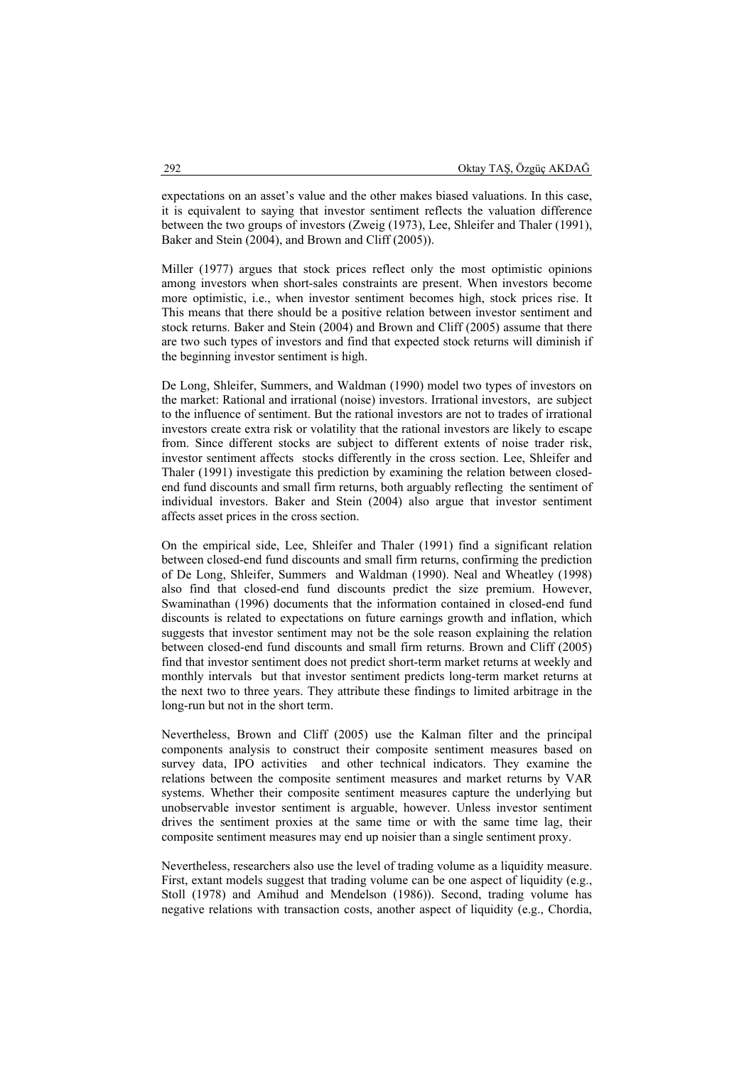expectations on an asset's value and the other makes biased valuations. In this case, it is equivalent to saying that investor sentiment reflects the valuation difference between the two groups of investors (Zweig (1973), Lee, Shleifer and Thaler (1991), Baker and Stein (2004), and Brown and Cliff (2005)).

Miller (1977) argues that stock prices reflect only the most optimistic opinions among investors when short-sales constraints are present. When investors become more optimistic, i.e., when investor sentiment becomes high, stock prices rise. It This means that there should be a positive relation between investor sentiment and stock returns. Baker and Stein (2004) and Brown and Cliff (2005) assume that there are two such types of investors and find that expected stock returns will diminish if the beginning investor sentiment is high.

De Long, Shleifer, Summers, and Waldman (1990) model two types of investors on the market: Rational and irrational (noise) investors. Irrational investors, are subject to the influence of sentiment. But the rational investors are not to trades of irrational investors create extra risk or volatility that the rational investors are likely to escape from. Since different stocks are subject to different extents of noise trader risk, investor sentiment affects stocks differently in the cross section. Lee, Shleifer and Thaler (1991) investigate this prediction by examining the relation between closedend fund discounts and small firm returns, both arguably reflecting the sentiment of individual investors. Baker and Stein (2004) also argue that investor sentiment affects asset prices in the cross section.

On the empirical side, Lee, Shleifer and Thaler (1991) find a significant relation between closed-end fund discounts and small firm returns, confirming the prediction of De Long, Shleifer, Summers and Waldman (1990). Neal and Wheatley (1998) also find that closed-end fund discounts predict the size premium. However, Swaminathan (1996) documents that the information contained in closed-end fund discounts is related to expectations on future earnings growth and inflation, which suggests that investor sentiment may not be the sole reason explaining the relation between closed-end fund discounts and small firm returns. Brown and Cliff (2005) find that investor sentiment does not predict short-term market returns at weekly and monthly intervals but that investor sentiment predicts long-term market returns at the next two to three years. They attribute these findings to limited arbitrage in the long-run but not in the short term.

Nevertheless, Brown and Cliff (2005) use the Kalman filter and the principal components analysis to construct their composite sentiment measures based on survey data, IPO activities and other technical indicators. They examine the relations between the composite sentiment measures and market returns by VAR systems. Whether their composite sentiment measures capture the underlying but unobservable investor sentiment is arguable, however. Unless investor sentiment drives the sentiment proxies at the same time or with the same time lag, their composite sentiment measures may end up noisier than a single sentiment proxy.

Nevertheless, researchers also use the level of trading volume as a liquidity measure. First, extant models suggest that trading volume can be one aspect of liquidity (e.g., Stoll (1978) and Amihud and Mendelson (1986)). Second, trading volume has negative relations with transaction costs, another aspect of liquidity (e.g., Chordia,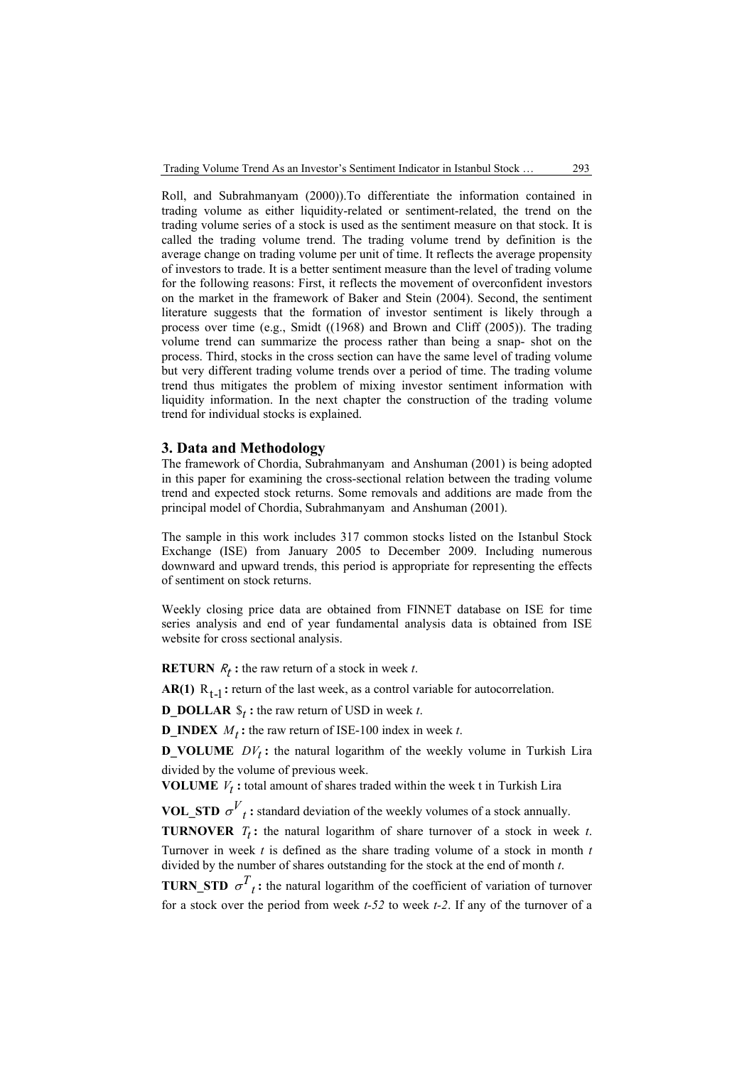Roll, and Subrahmanyam (2000)).To differentiate the information contained in trading volume as either liquidity-related or sentiment-related, the trend on the trading volume series of a stock is used as the sentiment measure on that stock. It is called the trading volume trend. The trading volume trend by definition is the average change on trading volume per unit of time. It reflects the average propensity of investors to trade. It is a better sentiment measure than the level of trading volume for the following reasons: First, it reflects the movement of overconfident investors on the market in the framework of Baker and Stein (2004). Second, the sentiment literature suggests that the formation of investor sentiment is likely through a process over time (e.g., Smidt ((1968) and Brown and Cliff (2005)). The trading volume trend can summarize the process rather than being a snap- shot on the process. Third, stocks in the cross section can have the same level of trading volume but very different trading volume trends over a period of time. The trading volume trend thus mitigates the problem of mixing investor sentiment information with liquidity information. In the next chapter the construction of the trading volume trend for individual stocks is explained.

### **3. Data and Methodology**

The framework of Chordia, Subrahmanyam and Anshuman (2001) is being adopted in this paper for examining the cross-sectional relation between the trading volume trend and expected stock returns. Some removals and additions are made from the principal model of Chordia, Subrahmanyam and Anshuman (2001).

The sample in this work includes 317 common stocks listed on the Istanbul Stock Exchange (ISE) from January 2005 to December 2009. Including numerous downward and upward trends, this period is appropriate for representing the effects of sentiment on stock returns.

Weekly closing price data are obtained from FINNET database on ISE for time series analysis and end of year fundamental analysis data is obtained from ISE website for cross sectional analysis.

**RETURN**  $R_t$ : the raw return of a stock in week *t*.

**AR(1)**  $R_{t-1}$ : return of the last week, as a control variable for autocorrelation.

**D\_DOLLAR**  $\mathcal{S}_t$ : the raw return of USD in week *t*.

**D\_INDEX**  $M_t$  **:** the raw return of ISE-100 index in week *t*.

**D\_VOLUME**  $DY_t$ : the natural logarithm of the weekly volume in Turkish Lira divided by the volume of previous week.

**VOLUME**  $V_t$ : total amount of shares traded within the week t in Turkish Lira

**VOL\_STD**  $\sigma^{V}$ <sub>t</sub>: standard deviation of the weekly volumes of a stock annually.

**TURNOVER**  $T_t$ : the natural logarithm of share turnover of a stock in week *t*.

Turnover in week *t* is defined as the share trading volume of a stock in month *t*  divided by the number of shares outstanding for the stock at the end of month *t*.

**TURN STD**  $\sigma^T t$ : the natural logarithm of the coefficient of variation of turnover for a stock over the period from week *t-52* to week *t-2*. If any of the turnover of a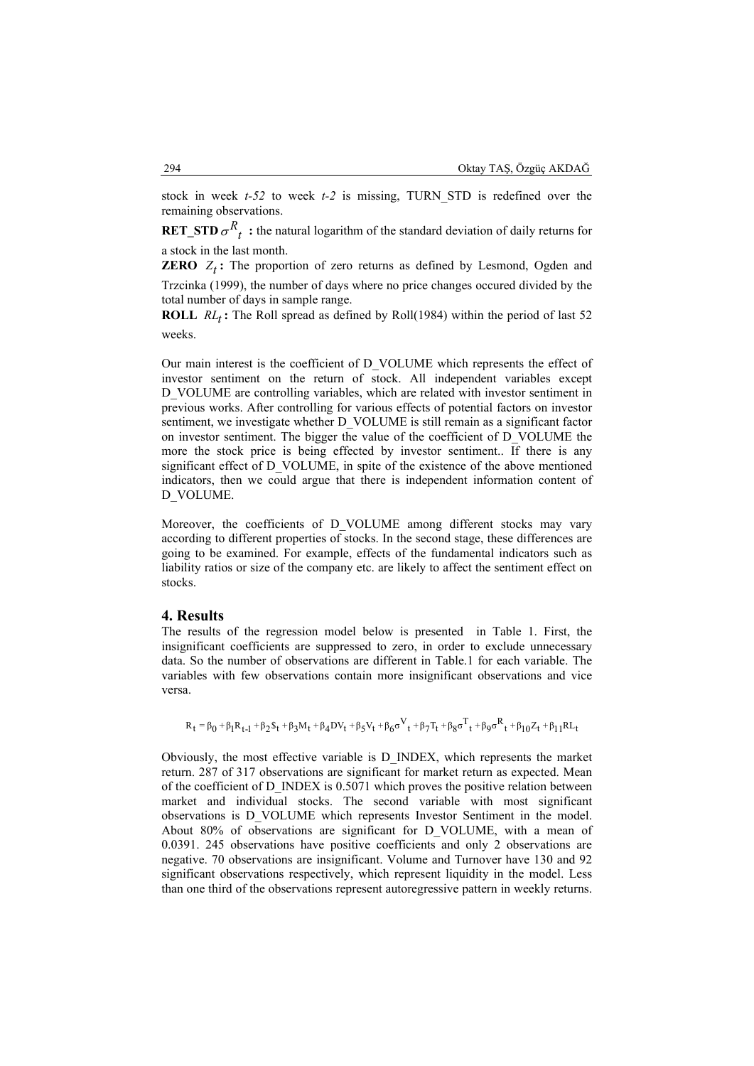stock in week *t-52* to week *t-2* is missing, TURN\_STD is redefined over the remaining observations.

**RET STD**  $\sigma^{R}$  *t* : the natural logarithm of the standard deviation of daily returns for a stock in the last month.

**ZERO**  $Z_t$ : The proportion of zero returns as defined by Lesmond, Ogden and

Trzcinka (1999), the number of days where no price changes occured divided by the total number of days in sample range.

**ROLL**  $RL_t$ : The Roll spread as defined by Roll(1984) within the period of last 52 weeks.

Our main interest is the coefficient of D\_VOLUME which represents the effect of investor sentiment on the return of stock. All independent variables except D\_VOLUME are controlling variables, which are related with investor sentiment in previous works. After controlling for various effects of potential factors on investor sentiment, we investigate whether D\_VOLUME is still remain as a significant factor on investor sentiment. The bigger the value of the coefficient of D\_VOLUME the more the stock price is being effected by investor sentiment.. If there is any significant effect of D\_VOLUME, in spite of the existence of the above mentioned indicators, then we could argue that there is independent information content of D\_VOLUME.

Moreover, the coefficients of D\_VOLUME among different stocks may vary according to different properties of stocks. In the second stage, these differences are going to be examined. For example, effects of the fundamental indicators such as liability ratios or size of the company etc. are likely to affect the sentiment effect on stocks.

## **4. Results**

The results of the regression model below is presented in Table 1. First, the insignificant coefficients are suppressed to zero, in order to exclude unnecessary data. So the number of observations are different in Table.1 for each variable. The variables with few observations contain more insignificant observations and vice versa.

$$
R_t = \beta_0 + \beta_1 R_{t\!-\!1} + \beta_2 \$_t + \beta_3 M_t + \beta_4 D V_t + \beta_5 V_t + \beta_6 \sigma^V_t + \beta_7 T_t + \beta_8 \sigma^T_t + \beta_9 \sigma^R_t + \beta_{10} Z_t + \beta_{11} R L_t
$$

Obviously, the most effective variable is D\_INDEX, which represents the market return. 287 of 317 observations are significant for market return as expected. Mean of the coefficient of D\_INDEX is 0.5071 which proves the positive relation between market and individual stocks. The second variable with most significant observations is D\_VOLUME which represents Investor Sentiment in the model. About 80% of observations are significant for D\_VOLUME, with a mean of 0.0391. 245 observations have positive coefficients and only 2 observations are negative. 70 observations are insignificant. Volume and Turnover have 130 and 92 significant observations respectively, which represent liquidity in the model. Less than one third of the observations represent autoregressive pattern in weekly returns.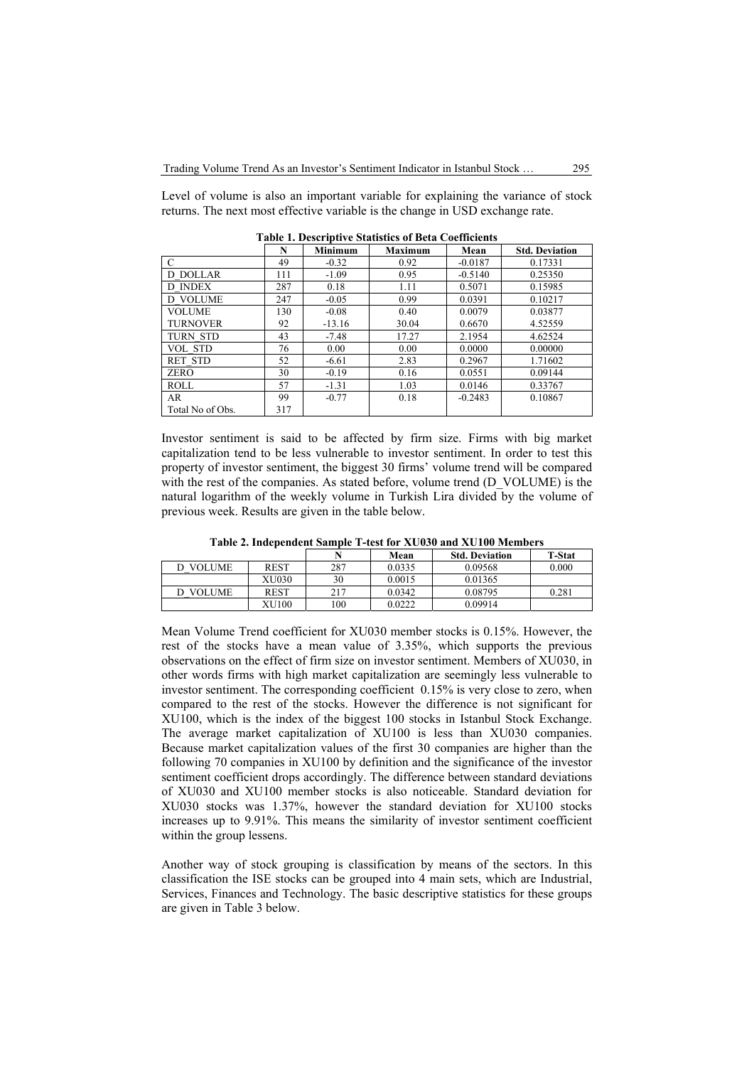Level of volume is also an important variable for explaining the variance of stock returns. The next most effective variable is the change in USD exchange rate.

|                  | N   | <b>Minimum</b> | <b>Maximum</b> | Mean      | <b>Std. Deviation</b> |
|------------------|-----|----------------|----------------|-----------|-----------------------|
| $\mathcal{C}$    | 49  | $-0.32$        | 0.92           | $-0.0187$ | 0.17331               |
| D DOLLAR         | 111 | $-1.09$        | 0.95           | $-0.5140$ | 0.25350               |
| D INDEX          | 287 | 0.18           | 1.11           | 0.5071    | 0.15985               |
| <b>D VOLUME</b>  | 247 | $-0.05$        | 0.99           | 0.0391    | 0.10217               |
| <b>VOLUME</b>    | 130 | $-0.08$        | 0.40           | 0.0079    | 0.03877               |
| <b>TURNOVER</b>  | 92  | $-13.16$       | 30.04          | 0.6670    | 4.52559               |
| <b>TURN STD</b>  | 43  | $-7.48$        | 17.27          | 2.1954    | 4.62524               |
| VOL STD          | 76  | 0.00           | 0.00           | 0.0000    | 0.00000               |
| <b>RET STD</b>   | 52  | $-6.61$        | 2.83           | 0.2967    | 1.71602               |
| <b>ZERO</b>      | 30  | $-0.19$        | 0.16           | 0.0551    | 0.09144               |
| <b>ROLL</b>      | 57  | $-1.31$        | 1.03           | 0.0146    | 0.33767               |
| AR               | 99  | $-0.77$        | 0.18           | $-0.2483$ | 0.10867               |
| Total No of Obs. | 317 |                |                |           |                       |

**Table 1. Descriptive Statistics of Beta Coefficients** 

Investor sentiment is said to be affected by firm size. Firms with big market capitalization tend to be less vulnerable to investor sentiment. In order to test this property of investor sentiment, the biggest 30 firms' volume trend will be compared with the rest of the companies. As stated before, volume trend (D\_VOLUME) is the natural logarithm of the weekly volume in Turkish Lira divided by the volume of previous week. Results are given in the table below.

| Table 2. Independent Sample T-test for XU030 and XU100 Members |  |  |
|----------------------------------------------------------------|--|--|
|----------------------------------------------------------------|--|--|

|               |             |     | Mean   | <b>Std. Deviation</b> | <b>T-Stat</b> |
|---------------|-------------|-----|--------|-----------------------|---------------|
| <b>VOLUME</b> | <b>REST</b> | 287 | 0.0335 | 0.09568               | 0.000         |
|               | XU030       | 30  | 0.0015 | 0.01365               |               |
| <b>VOLUME</b> | <b>REST</b> | 217 | 0.0342 | 0.08795               | 0.281         |
|               | XU100       | 100 | 0.0222 | 0.09914               |               |

Mean Volume Trend coefficient for XU030 member stocks is 0.15%. However, the rest of the stocks have a mean value of 3.35%, which supports the previous observations on the effect of firm size on investor sentiment. Members of XU030, in other words firms with high market capitalization are seemingly less vulnerable to investor sentiment. The corresponding coefficient 0.15% is very close to zero, when compared to the rest of the stocks. However the difference is not significant for XU100, which is the index of the biggest 100 stocks in Istanbul Stock Exchange. The average market capitalization of XU100 is less than XU030 companies. Because market capitalization values of the first 30 companies are higher than the following 70 companies in XU100 by definition and the significance of the investor sentiment coefficient drops accordingly. The difference between standard deviations of XU030 and XU100 member stocks is also noticeable. Standard deviation for XU030 stocks was 1.37%, however the standard deviation for XU100 stocks increases up to 9.91%. This means the similarity of investor sentiment coefficient within the group lessens.

Another way of stock grouping is classification by means of the sectors. In this classification the ISE stocks can be grouped into 4 main sets, which are Industrial, Services, Finances and Technology. The basic descriptive statistics for these groups are given in Table 3 below.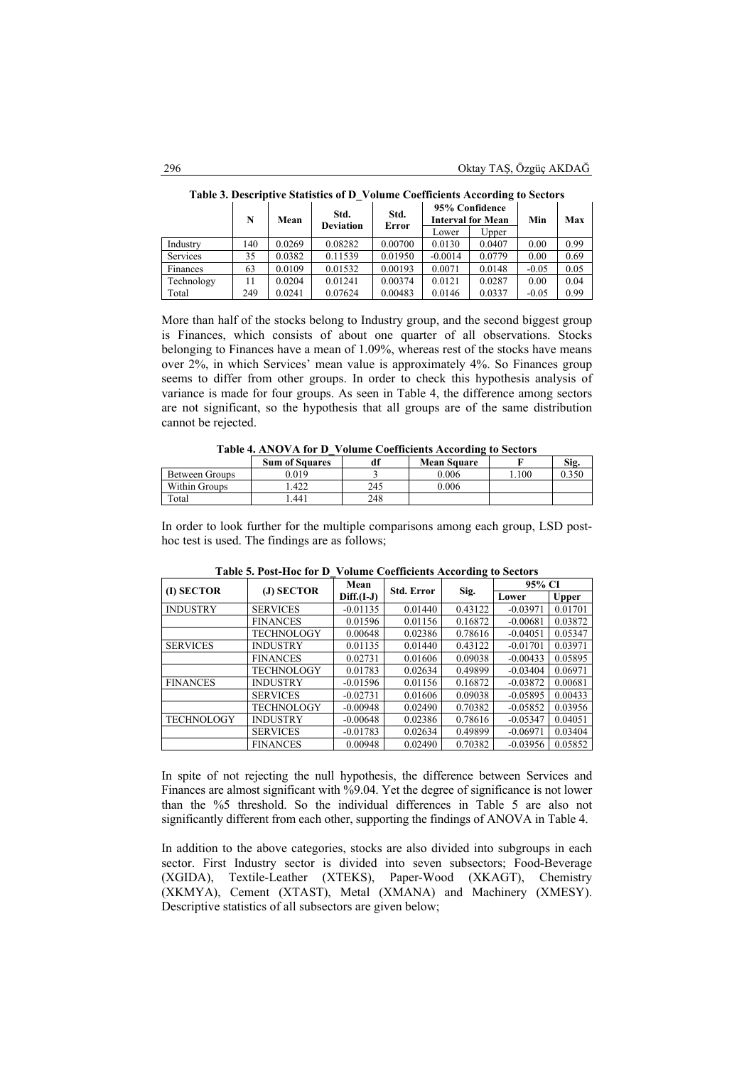|            | N   | Mean   | Std.<br><b>Deviation</b> |         |           |        | 95% Confidence<br><b>Interval for Mean</b> | Min  | Max |
|------------|-----|--------|--------------------------|---------|-----------|--------|--------------------------------------------|------|-----|
|            |     |        |                          | Error   | Lower     | Upper  |                                            |      |     |
| Industry   | 140 | 0.0269 | 0.08282                  | 0.00700 | 0.0130    | 0.0407 | 0.00                                       | 0.99 |     |
| Services   | 35  | 0.0382 | 0.11539                  | 0.01950 | $-0.0014$ | 0.0779 | 0.00                                       | 0.69 |     |
| Finances   | 63  | 0.0109 | 0.01532                  | 0.00193 | 0.0071    | 0.0148 | $-0.05$                                    | 0.05 |     |
| Technology |     | 0.0204 | 0.01241                  | 0.00374 | 0.0121    | 0.0287 | 0.00                                       | 0.04 |     |
| Total      | 249 | 0.0241 | 0.07624                  | 0.00483 | 0.0146    | 0.0337 | $-0.05$                                    | 0.99 |     |

**Table 3. Descriptive Statistics of D\_Volume Coefficients According to Sectors** 

More than half of the stocks belong to Industry group, and the second biggest group is Finances, which consists of about one quarter of all observations. Stocks belonging to Finances have a mean of 1.09%, whereas rest of the stocks have means over 2%, in which Services' mean value is approximately 4%. So Finances group seems to differ from other groups. In order to check this hypothesis analysis of variance is made for four groups. As seen in Table 4, the difference among sectors are not significant, so the hypothesis that all groups are of the same distribution cannot be rejected.

|                | TRAIN RIEGO LE RIE D'AUGURE CAMININING TRANSIQUE LA PRANTIS |     |                    |      |       |
|----------------|-------------------------------------------------------------|-----|--------------------|------|-------|
|                | <b>Sum of Squares</b>                                       |     | <b>Mean Square</b> |      | Sig.  |
| Between Groups | 0.019                                                       |     | 0.006              | .100 | 0.350 |
| Within Groups  | .422                                                        | 245 | 0.006              |      |       |
| Total          | .441                                                        | 248 |                    |      |       |

| Table 4. ANOVA for D_Volume Coefficients According to Sectors |  |  |  |
|---------------------------------------------------------------|--|--|--|
|                                                               |  |  |  |

In order to look further for the multiple comparisons among each group, LSD posthoc test is used. The findings are as follows;

| (I) SECTOR        | (J) SECTOR        | Mean         | <b>Std. Error</b> |         | 95% CI     |              |  |
|-------------------|-------------------|--------------|-------------------|---------|------------|--------------|--|
|                   |                   | $Diff.(I-J)$ |                   | Sig.    | Lower      | <b>Upper</b> |  |
| <b>INDUSTRY</b>   | <b>SERVICES</b>   | $-0.01135$   | 0.01440           | 0.43122 | $-0.03971$ | 0.01701      |  |
|                   | <b>FINANCES</b>   | 0.01596      | 0.01156           | 0.16872 | $-0.00681$ | 0.03872      |  |
|                   | TECHNOLOGY        | 0.00648      | 0.02386           | 0.78616 | $-0.04051$ | 0.05347      |  |
| <b>SERVICES</b>   | <b>INDUSTRY</b>   | 0.01135      | 0.01440           | 0.43122 | $-0.01701$ | 0.03971      |  |
|                   | <b>FINANCES</b>   | 0.02731      | 0.01606           | 0.09038 | $-0.00433$ | 0.05895      |  |
|                   | TECHNOLOGY        | 0.01783      | 0.02634           | 0.49899 | $-0.03404$ | 0.06971      |  |
| <b>FINANCES</b>   | <b>INDUSTRY</b>   | $-0.01596$   | 0.01156           | 0.16872 | $-0.03872$ | 0.00681      |  |
|                   | <b>SERVICES</b>   | $-0.02731$   | 0.01606           | 0.09038 | $-0.05895$ | 0.00433      |  |
|                   | <b>TECHNOLOGY</b> | $-0.00948$   | 0.02490           | 0.70382 | $-0.05852$ | 0.03956      |  |
| <b>TECHNOLOGY</b> | <b>INDUSTRY</b>   | $-0.00648$   | 0.02386           | 0.78616 | $-0.05347$ | 0.04051      |  |
|                   | <b>SERVICES</b>   | $-0.01783$   | 0.02634           | 0.49899 | $-0.06971$ | 0.03404      |  |
|                   | <b>FINANCES</b>   | 0.00948      | 0.02490           | 0.70382 | $-0.03956$ | 0.05852      |  |

**Table 5. Post-Hoc for D\_Volume Coefficients According to Sectors**

In spite of not rejecting the null hypothesis, the difference between Services and Finances are almost significant with %9.04. Yet the degree of significance is not lower than the %5 threshold. So the individual differences in Table 5 are also not significantly different from each other, supporting the findings of ANOVA in Table 4.

In addition to the above categories, stocks are also divided into subgroups in each sector. First Industry sector is divided into seven subsectors; Food-Beverage (XGIDA), Textile-Leather (XTEKS), Paper-Wood (XKAGT), Chemistry (XKMYA), Cement (XTAST), Metal (XMANA) and Machinery (XMESY). Descriptive statistics of all subsectors are given below;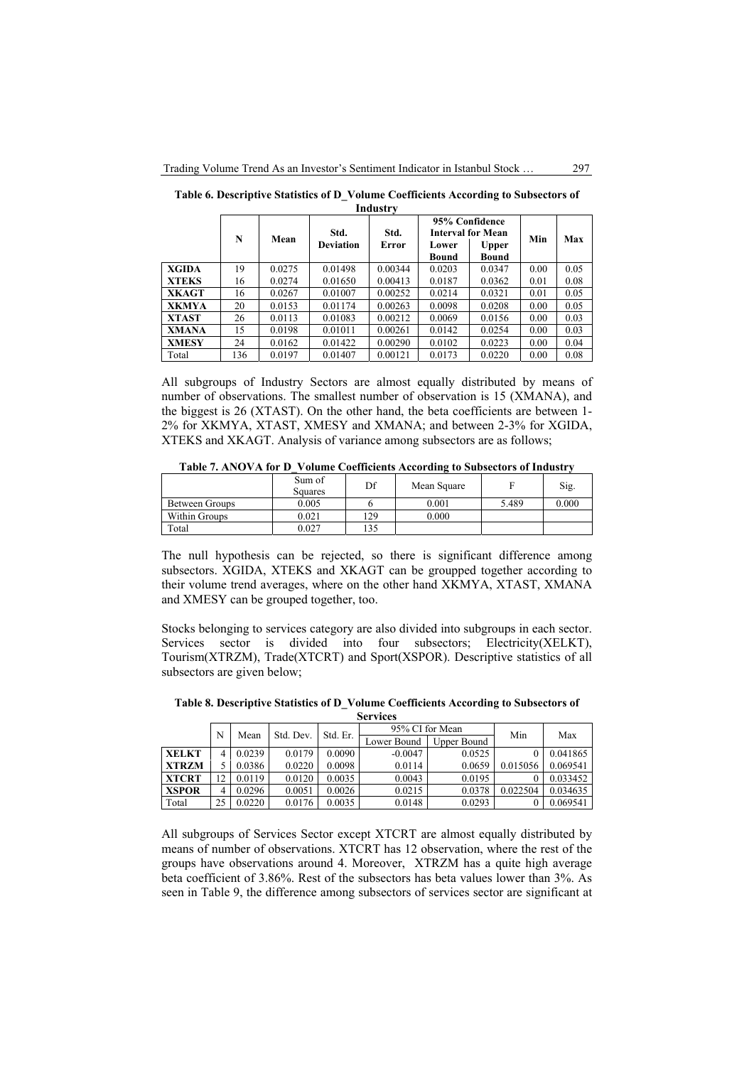|              | N   | Mean   | Std.             | Std.    |                | 95% Confidence<br><b>Interval for Mean</b> |      | Max  |
|--------------|-----|--------|------------------|---------|----------------|--------------------------------------------|------|------|
|              |     |        | <b>Deviation</b> | Error   | Lower<br>Bound | Upper<br>Bound                             | Min  |      |
| XGIDA        | 19  | 0.0275 | 0.01498          | 0.00344 | 0.0203         | 0.0347                                     | 0.00 | 0.05 |
| <b>XTEKS</b> | 16  | 0.0274 | 0.01650          | 0.00413 | 0.0187         | 0.0362                                     | 0.01 | 0.08 |
| <b>XKAGT</b> | 16  | 0.0267 | 0.01007          | 0.00252 | 0.0214         | 0.0321                                     | 0.01 | 0.05 |
| <b>XKMYA</b> | 20  | 0.0153 | 0.01174          | 0.00263 | 0.0098         | 0.0208                                     | 0.00 | 0.05 |
| <b>XTAST</b> | 26  | 0.0113 | 0.01083          | 0.00212 | 0.0069         | 0.0156                                     | 0.00 | 0.03 |
| <b>XMANA</b> | 15  | 0.0198 | 0.01011          | 0.00261 | 0.0142         | 0.0254                                     | 0.00 | 0.03 |
| <b>XMESY</b> | 24  | 0.0162 | 0.01422          | 0.00290 | 0.0102         | 0.0223                                     | 0.00 | 0.04 |
| Total        | 136 | 0.0197 | 0.01407          | 0.00121 | 0.0173         | 0.0220                                     | 0.00 | 0.08 |

**Table 6. Descriptive Statistics of D\_Volume Coefficients According to Subsectors of Industry** 

All subgroups of Industry Sectors are almost equally distributed by means of number of observations. The smallest number of observation is 15 (XMANA), and the biggest is 26 (XTAST). On the other hand, the beta coefficients are between 1- 2% for XKMYA, XTAST, XMESY and XMANA; and between 2-3% for XGIDA, XTEKS and XKAGT. Analysis of variance among subsectors are as follows;

**Table 7. ANOVA for D\_Volume Coefficients According to Subsectors of Industry** 

|                | Sum of<br>Squares | Df  | Mean Square |       | Sig.  |
|----------------|-------------------|-----|-------------|-------|-------|
| Between Groups | 0.005             |     | 0.001       | 5.489 | 0.000 |
| Within Groups  | 0.021             | 129 | 0.000       |       |       |
| Total          | 0.027             | 135 |             |       |       |

The null hypothesis can be rejected, so there is significant difference among subsectors. XGIDA, XTEKS and XKAGT can be groupped together according to their volume trend averages, where on the other hand XKMYA, XTAST, XMANA and XMESY can be grouped together, too.

Stocks belonging to services category are also divided into subgroups in each sector. Services sector is divided into four subsectors; Electricity(XELKT), Tourism(XTRZM), Trade(XTCRT) and Sport(XSPOR). Descriptive statistics of all subsectors are given below;

**Table 8. Descriptive Statistics of D\_Volume Coefficients According to Subsectors of** 

| <b>Services</b> |    |          |                 |        |             |             |          |          |  |  |
|-----------------|----|----------|-----------------|--------|-------------|-------------|----------|----------|--|--|
| N               |    | Std. Er. | 95% CI for Mean |        | Min         | Max         |          |          |  |  |
|                 |    | Mean     | Std. Dev.       |        | Lower Bound | Upper Bound |          |          |  |  |
| <b>XELKT</b>    | 4  | 0.0239   | 0.0179          | 0.0090 | $-0.0047$   | 0.0525      |          | 0.041865 |  |  |
| <b>XTRZM</b>    |    | 0.0386   | 0.0220          | 0.0098 | 0.0114      | 0.0659      | 0.015056 | 0.069541 |  |  |
| <b>XTCRT</b>    | 12 | 0.0119   | 0.0120          | 0.0035 | 0.0043      | 0.0195      |          | 0.033452 |  |  |
| <b>XSPOR</b>    | 4  | 0.0296   | 0.0051          | 0.0026 | 0.0215      | 0.0378      | 0.022504 | 0.034635 |  |  |
| Total           | 25 | 0.0220   | 0.0176          | 0.0035 | 0.0148      | 0.0293      |          | 0.069541 |  |  |

All subgroups of Services Sector except XTCRT are almost equally distributed by means of number of observations. XTCRT has 12 observation, where the rest of the groups have observations around 4. Moreover, XTRZM has a quite high average beta coefficient of 3.86%. Rest of the subsectors has beta values lower than 3%. As seen in Table 9, the difference among subsectors of services sector are significant at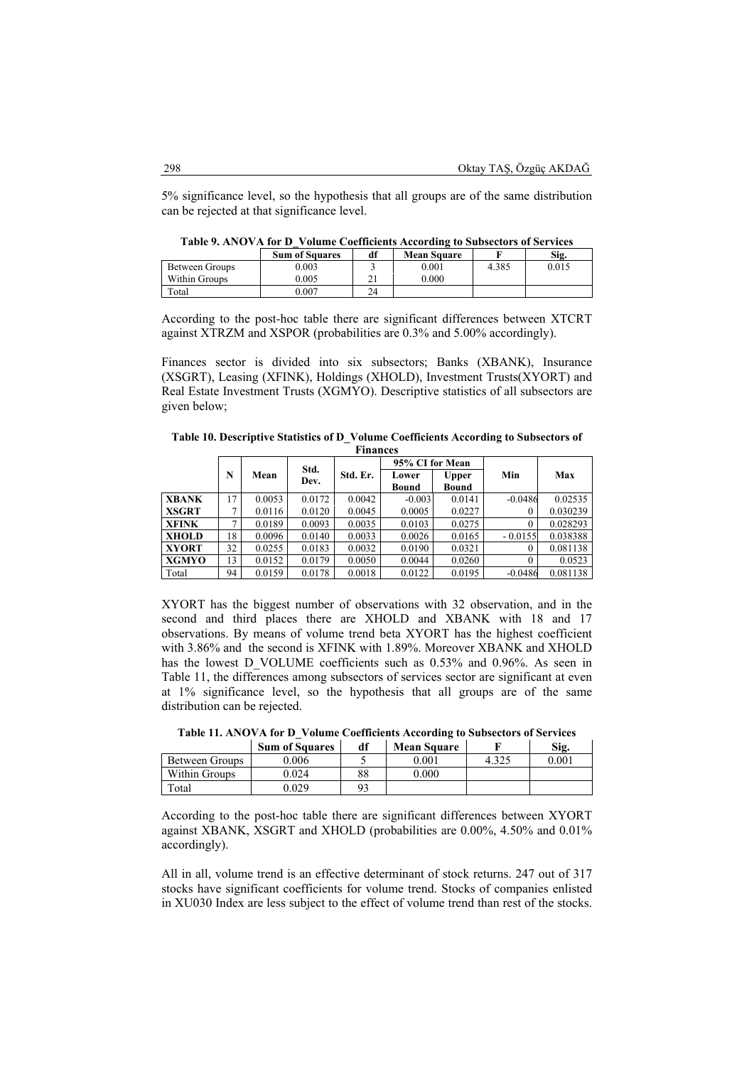5% significance level, so the hypothesis that all groups are of the same distribution can be rejected at that significance level.

| Table 9. ANOVA for D_Volume Coefficients According to Subsectors of Services |  |  |  |
|------------------------------------------------------------------------------|--|--|--|
|                                                                              |  |  |  |

|                | <b>Sum of Squares</b> | df | <b>Mean Square</b> |       | Sig.  |
|----------------|-----------------------|----|--------------------|-------|-------|
| Between Groups | 0.003                 |    | 0.001              | 4.385 | 0.015 |
| Within Groups  | 0.005                 |    | 0.000              |       |       |
| Total          | $0.007\,$             | 24 |                    |       |       |

According to the post-hoc table there are significant differences between XTCRT against XTRZM and XSPOR (probabilities are 0.3% and 5.00% accordingly).

Finances sector is divided into six subsectors; Banks (XBANK), Insurance (XSGRT), Leasing (XFINK), Holdings (XHOLD), Investment Trusts(XYORT) and Real Estate Investment Trusts (XGMYO). Descriptive statistics of all subsectors are given below;

**Table 10. Descriptive Statistics of D\_Volume Coefficients According to Subsectors of Finances**

| г шансеѕ     |    |           |              |          |                 |              |           |          |
|--------------|----|-----------|--------------|----------|-----------------|--------------|-----------|----------|
|              |    | N<br>Mean | Std.<br>Dev. | Std. Er. | 95% CI for Mean |              |           |          |
|              |    |           |              |          | Lower           | <b>Upper</b> | Min       | Max      |
|              |    |           |              |          | Bound           | Bound        |           |          |
| <b>XBANK</b> | 17 | 0.0053    | 0.0172       | 0.0042   | $-0.003$        | 0.0141       | $-0.0486$ | 0.02535  |
| <b>XSGRT</b> | ⇁  | 0.0116    | 0.0120       | 0.0045   | 0.0005          | 0.0227       | $\theta$  | 0.030239 |
| <b>XFINK</b> | 7  | 0.0189    | 0.0093       | 0.0035   | 0.0103          | 0.0275       | $\Omega$  | 0.028293 |
| <b>XHOLD</b> | 18 | 0.0096    | 0.0140       | 0.0033   | 0.0026          | 0.0165       | $-0.0155$ | 0.038388 |
| <b>XYORT</b> | 32 | 0.0255    | 0.0183       | 0.0032   | 0.0190          | 0.0321       | $\Omega$  | 0.081138 |
| <b>XGMYO</b> | 13 | 0.0152    | 0.0179       | 0.0050   | 0.0044          | 0.0260       | $\theta$  | 0.0523   |
| Total        | 94 | 0.0159    | 0.0178       | 0.0018   | 0.0122          | 0.0195       | $-0.0486$ | 0.081138 |

XYORT has the biggest number of observations with 32 observation, and in the second and third places there are XHOLD and XBANK with 18 and 17 observations. By means of volume trend beta XYORT has the highest coefficient with 3.86% and the second is XFINK with 1.89%. Moreover XBANK and XHOLD has the lowest D\_VOLUME coefficients such as 0.53% and 0.96%. As seen in Table 11, the differences among subsectors of services sector are significant at even at 1% significance level, so the hypothesis that all groups are of the same distribution can be rejected.

**Table 11. ANOVA for D\_Volume Coefficients According to Subsectors of Services** 

|                | <b>Sum of Squares</b> | df | <b>Mean Square</b> |       | Sig.  |
|----------------|-----------------------|----|--------------------|-------|-------|
| Between Groups | 0.006                 |    | 0.001              | 1.325 | 0.001 |
| Within Groups  | 0.024                 | 88 | 0.000              |       |       |
| Total          | 0.029                 |    |                    |       |       |

According to the post-hoc table there are significant differences between XYORT against XBANK, XSGRT and XHOLD (probabilities are 0.00%, 4.50% and 0.01% accordingly).

All in all, volume trend is an effective determinant of stock returns. 247 out of 317 stocks have significant coefficients for volume trend. Stocks of companies enlisted in XU030 Index are less subject to the effect of volume trend than rest of the stocks.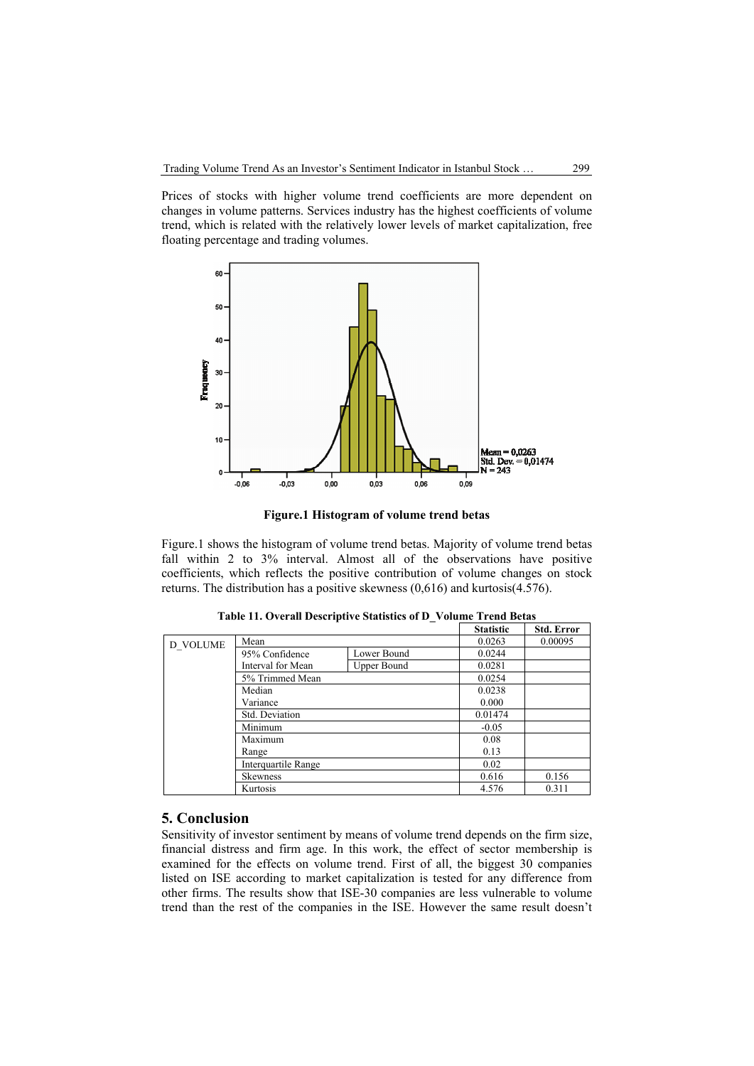Prices of stocks with higher volume trend coefficients are more dependent on changes in volume patterns. Services industry has the highest coefficients of volume trend, which is related with the relatively lower levels of market capitalization, free floating percentage and trading volumes.



**Figure.1 Histogram of volume trend betas** 

Figure.1 shows the histogram of volume trend betas. Majority of volume trend betas fall within 2 to 3% interval. Almost all of the observations have positive coefficients, which reflects the positive contribution of volume changes on stock returns. The distribution has a positive skewness (0,616) and kurtosis(4.576).

|          |                     |                    | <b>Statistic</b> | <b>Std. Error</b> |
|----------|---------------------|--------------------|------------------|-------------------|
| D VOLUME | Mean                | 0.0263             | 0.00095          |                   |
|          | 95% Confidence      | Lower Bound        | 0.0244           |                   |
|          | Interval for Mean   | <b>Upper Bound</b> | 0.0281           |                   |
|          | 5% Trimmed Mean     | 0.0254             |                  |                   |
|          | Median              | 0.0238             |                  |                   |
|          | Variance            |                    | 0.000            |                   |
|          | Std. Deviation      |                    | 0.01474          |                   |
|          | Minimum             |                    | $-0.05$          |                   |
|          | Maximum             | 0.08               |                  |                   |
|          | Range               | 0.13               |                  |                   |
|          | Interquartile Range | 0.02               |                  |                   |
|          | <b>Skewness</b>     | 0.616              | 0.156            |                   |
|          | Kurtosis            | 4.576              | 0.311            |                   |

**Table 11. Overall Descriptive Statistics of D\_Volume Trend Betas**

#### **5. Conclusion**

Sensitivity of investor sentiment by means of volume trend depends on the firm size, financial distress and firm age. In this work, the effect of sector membership is examined for the effects on volume trend. First of all, the biggest 30 companies listed on ISE according to market capitalization is tested for any difference from other firms. The results show that ISE-30 companies are less vulnerable to volume trend than the rest of the companies in the ISE. However the same result doesn't